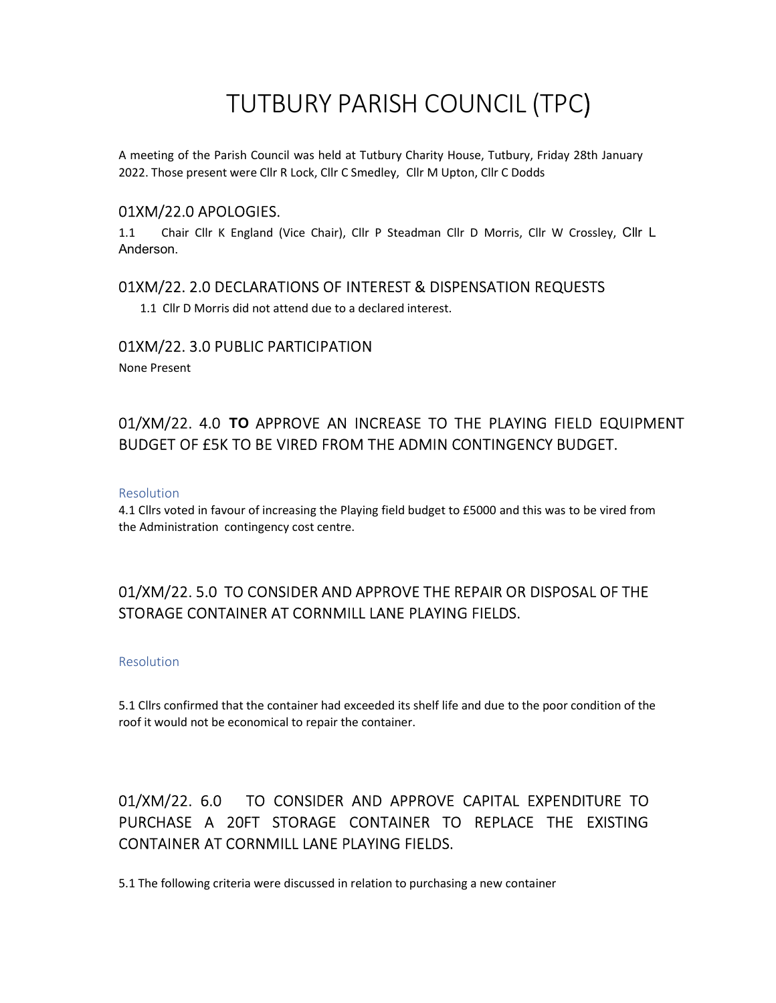# TUTBURY PARISH COUNCIL (TPC)

A meeting of the Parish Council was held at Tutbury Charity House, Tutbury, Friday 28th January 2022. Those present were Cllr R Lock, Cllr C Smedley, Cllr M Upton, Cllr C Dodds

### 01XM/22.0 APOLOGIES.

1.1 Chair Cllr K England (Vice Chair), Cllr P Steadman Cllr D Morris, Cllr W Crossley, Cllr L Anderson.

## 01XM/22. 2.0 DECLARATIONS OF INTEREST & DISPENSATION REQUESTS

1.1 Cllr D Morris did not attend due to a declared interest.

## 01XM/22. 3.0 PUBLIC PARTICIPATION

None Present

# 01/XM/22. 4.0 TO APPROVE AN INCREASE TO THE PLAYING FIELD EQUIPMENT BUDGET OF £5K TO BE VIRED FROM THE ADMIN CONTINGENCY BUDGET.

#### Resolution

4.1 Cllrs voted in favour of increasing the Playing field budget to £5000 and this was to be vired from the Administration contingency cost centre.

## 01/XM/22. 5.0 TO CONSIDER AND APPROVE THE REPAIR OR DISPOSAL OF THE STORAGE CONTAINER AT CORNMILL LANE PLAYING FIELDS.

#### Resolution

5.1 Cllrs confirmed that the container had exceeded its shelf life and due to the poor condition of the roof it would not be economical to repair the container.

# 01/XM/22. 6.0 TO CONSIDER AND APPROVE CAPITAL EXPENDITURE TO PURCHASE A 20FT STORAGE CONTAINER TO REPLACE THE EXISTING CONTAINER AT CORNMILL LANE PLAYING FIELDS.

5.1 The following criteria were discussed in relation to purchasing a new container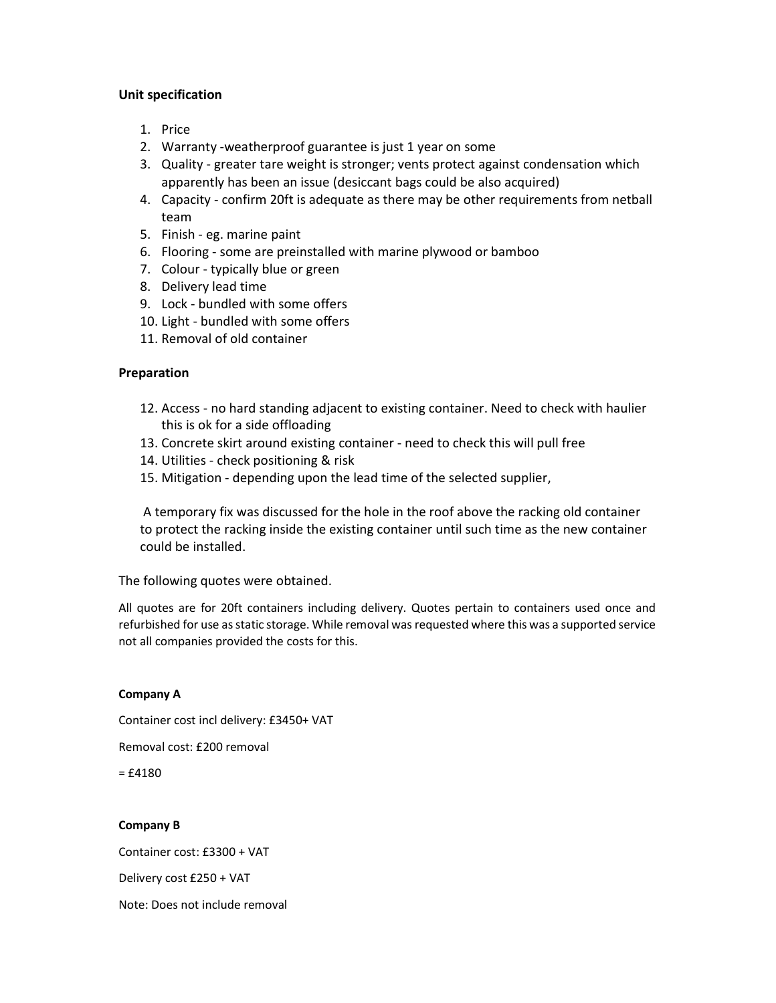#### Unit specification

- 1. Price
- 2. Warranty -weatherproof guarantee is just 1 year on some
- 3. Quality greater tare weight is stronger; vents protect against condensation which apparently has been an issue (desiccant bags could be also acquired)
- 4. Capacity confirm 20ft is adequate as there may be other requirements from netball team
- 5. Finish eg. marine paint
- 6. Flooring some are preinstalled with marine plywood or bamboo
- 7. Colour typically blue or green
- 8. Delivery lead time
- 9. Lock bundled with some offers
- 10. Light bundled with some offers
- 11. Removal of old container

#### Preparation

- 12. Access no hard standing adjacent to existing container. Need to check with haulier this is ok for a side offloading
- 13. Concrete skirt around existing container need to check this will pull free
- 14. Utilities check positioning & risk
- 15. Mitigation depending upon the lead time of the selected supplier,

 A temporary fix was discussed for the hole in the roof above the racking old container to protect the racking inside the existing container until such time as the new container could be installed.

The following quotes were obtained.

All quotes are for 20ft containers including delivery. Quotes pertain to containers used once and refurbished for use as static storage. While removal was requested where this was a supported service not all companies provided the costs for this.

#### Company A

Container cost incl delivery: £3450+ VAT

Removal cost: £200 removal

 $= **£4180**$ 

#### Company B

Container cost: £3300 + VAT Delivery cost £250 + VAT Note: Does not include removal